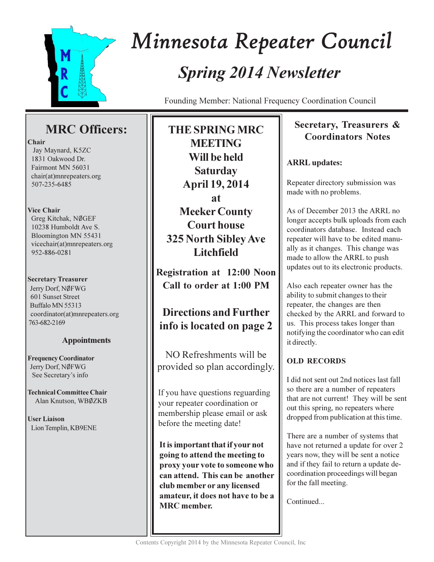

# Minnesota Repeater Council **Spring 2014 Newsletter**

Founding Member: National Frequency Coordination Council

# **MRC** Officers:

#### Chair

Jay Maynard, K5ZC 1831 Oakwood Dr. Fairmont MN 56031 chair(at)mnrepeaters.org 507-235-6485

#### **Vice Chair**

Greg Kitchak, NØGEF 10238 Humboldt Ave S. Bloomington MN 55431 vicechair(at)mnrepeaters.org 952-886-0281

### **Secretary Treasurer**

Jerry Dorf, NØFWG 601 Sunset Street Buffalo MN 55313 coordinator(at)mnrepeaters.org 763-682-2169

### **Appointments**

**Frequency Coordinator** Jerry Dorf, NØFWG See Secretary's info

**Technical Committee Chair** Alan Knutson, WBØZKB

**User Liaison** Lion Templin, KB9ENE

**MEETING** Will be held **Saturday April 19, 2014** at **Meeker County Court house 325 North Sibley Ave Litchfield** 

**THE SPRING MRC** 

**Registration at 12:00 Noon** Call to order at 1:00 PM

# **Directions and Further** info is located on page 2

NO Refreshments will be provided so plan accordingly.

If you have questions reguarding your repeater coordination or membership please email or ask before the meeting date!

It is important that if your not going to attend the meeting to proxy your vote to someone who can attend. This can be another club member or any licensed amateur, it does not have to be a **MRC** member.

# Secretary, Treasurers & **Coordinators Notes**

## **ARRL** updates:

Repeater directory submission was made with no problems.

As of December 2013 the ARRL no longer accepts bulk uploads from each coordinators database. Instead each repeater will have to be edited manually as it changes. This change was made to allow the ARRL to push updates out to its electronic products.

Also each repeater owner has the ability to submit changes to their repeater, the changes are then checked by the ARRL and forward to us. This process takes longer than notifying the coordinator who can edit it directly.

## **OLD RECORDS**

I did not sent out 2nd notices last fall so there are a number of repeaters that are not current! They will be sent out this spring, no repeaters where dropped from publication at this time.

There are a number of systems that have not returned a update for over 2 years now, they will be sent a notice and if they fail to return a update decoordination proceedings will began for the fall meeting.

Continued...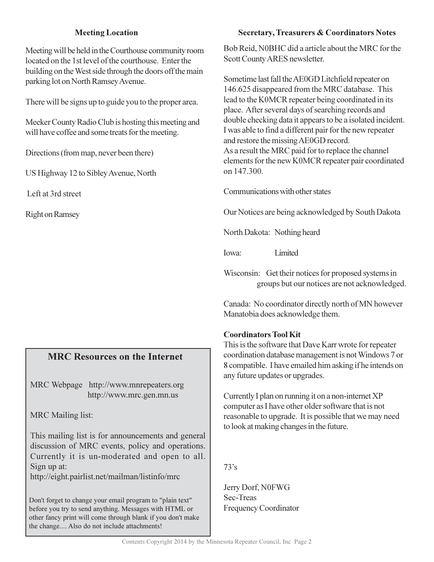#### **Meeting Location**

Meeting will be held in the Courthouse community room located on the 1st level of the courthouse. Enter the building on the West side through the doors off the main parking lot on North Ramsey Avenue.

There will be signs up to guide you to the proper area.

Meeker County Radio Club is hosting this meeting and will have coffee and some treats for the meeting.

Directions (from map, never been there)

US Highway 12 to Sibley Avenue, North

Left at 3rd street

**Right on Ramsey** 

#### **MRC Resources on the Internet**

MRC Webpage http://www.mnrepeaters.org http://www.mrc.gen.mn.us

**MRC** Mailing list:

This mailing list is for announcements and general discussion of MRC events, policy and operations. Currently it is un-moderated and open to all. Sign up at:

http://eight.pairlist.net/mailman/listinfo/mrc

Don't forget to change your email program to "plain text" before you try to send anything. Messages with HTML or other fancy print will come through blank if you don't make the change.... Also do not include attachments!

#### **Secretary, Treasurers & Coordinators Notes**

Bob Reid, N0BHC did a article about the MRC for the Scott County ARES newsletter.

Sometime last fall the AE0GD Litchfield repeater on 146.625 disappeared from the MRC database. This lead to the K0MCR repeater being coordinated in its place. After several days of searching records and double checking data it appears to be a isolated incident. I was able to find a different pair for the new repeater and restore the missing AE0GD record. As a result the MRC paid for to replace the channel elements for the new K0MCR repeater pair coordinated

Communications with other states

Our Notices are being acknowledged by South Dakota

North Dakota: Nothing heard

Iowa: Limited

on 147.300.

Wisconsin: Get their notices for proposed systems in groups but our notices are not acknowledged.

Canada: No coordinator directly north of MN however Manatobia does acknowledge them.

#### **Coordinators Tool Kit**

This is the software that Dave Karr wrote for repeater coordination database management is not Windows 7 or 8 compatible. I have emailed him asking if he intends on any future updates or upgrades.

Currently I plan on running it on a non-internet XP computer as I have other older software that is not reasonable to upgrade. It is possible that we may need to look at making changes in the future.

 $73's$ 

Jerry Dorf, N0FWG Sec-Treas **Frequency Coordinator**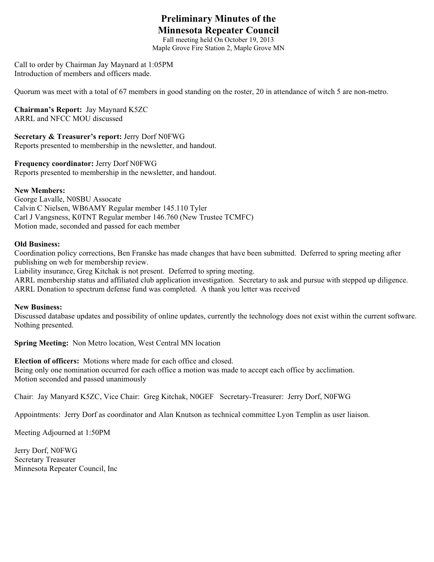# **Preliminary Minutes of the Minnesota Repeater Council**

Fall meeting held On October 19, 2013 Maple Grove Fire Station 2, Maple Grove MN

Call to order by Chairman Jay Maynard at 1:05PM Introduction of members and officers made.

Quorum was meet with a total of 67 members in good standing on the roster, 20 in attendance of witch 5 are non-metro.

**Chairman's Report:** Jay Maynard K5ZC ARRL and NFCC MOU discussed

**Secretary & Treasurer's report:** Jerry Dorf N0FWG Reports presented to membership in the newsletter, and handout.

**Frequency coordinator:** Jerry Dorf N0FWG Reports presented to membership in the newsletter, and handout.

#### **New Members:**

George Lavalle, N0SBU Assocate Calvin C Nielsen, WB6AMY Regular member 145.110 Tyler Carl J Vangsness, K0TNT Regular member 146.760 (New Trustee TCMFC) Motion made, seconded and passed for each member

#### **Old Business:**

Coordination policy corrections, Ben Franske has made changes that have been submitted. Deferred to spring meeting after publishing on web for membership review.

Liability insurance, Greg Kitchak is not present. Deferred to spring meeting.

ARRL membership status and affiliated club application investigation. Secretary to ask and pursue with stepped up diligence. ARRL Donation to spectrum defense fund was completed. A thank you letter was received

#### **New Business:**

Discussed database updates and possibility of online updates, currently the technology does not exist within the current software. Nothing presented.

**Spring Meeting:** Non Metro location, West Central MN location

**Election of officers:** Motions where made for each office and closed. Being only one nomination occurred for each office a motion was made to accept each office by acclimation. Motion seconded and passed unanimously

Chair: Jay Manyard K5ZC, Vice Chair: Greg Kitchak, N0GEF Secretary-Treasurer: Jerry Dorf, N0FWG

Appointments: Jerry Dorf as coordinator and Alan Knutson as technical committee Lyon Templin as user liaison.

Meeting Adjourned at 1:50PM

Jerry Dorf, N0FWG Secretary Treasurer Minnesota Repeater Council, Inc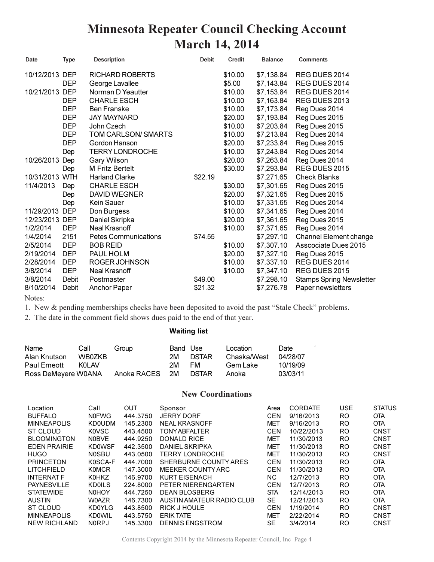# **Minnesota Repeater Council Checking Account March 14, 2014**

| Date           | <b>Type</b> | <b>Description</b>          | <b>Debit</b> | Credit  | <b>Balance</b> | <b>Comments</b>                 |
|----------------|-------------|-----------------------------|--------------|---------|----------------|---------------------------------|
| 10/12/2013 DEP |             | RICHARD ROBERTS             |              | \$10.00 | \$7,138.84     | REG DUES 2014                   |
|                | <b>DEP</b>  | George Lavallee             |              | \$5.00  | \$7,143.84     | REG DUES 2014                   |
| 10/21/2013 DEP |             | Norman D Yeautter           |              | \$10.00 | \$7,153.84     | REG DUES 2014                   |
|                | <b>DEP</b>  | <b>CHARLE ESCH</b>          |              | \$10.00 | \$7,163.84     | REG DUES 2013                   |
|                | <b>DEP</b>  | <b>Ben Franske</b>          |              | \$10.00 | \$7,173.84     | Reg Dues 2014                   |
|                | <b>DEP</b>  | <b>JAY MAYNARD</b>          |              | \$20.00 | \$7,193.84     | Reg Dues 2015                   |
|                | <b>DEP</b>  | John Czech                  |              | \$10.00 | \$7,203.84     | Reg Dues 2015                   |
|                | <b>DEP</b>  | TOM CARLSON/SMARTS          |              | \$10.00 | \$7,213.84     | Reg Dues 2014                   |
|                | <b>DEP</b>  | Gordon Hanson               |              | \$20.00 | \$7,233.84     | Reg Dues 2015                   |
|                | Dep         | <b>TERRY LONDROCHE</b>      |              | \$10.00 | \$7,243.84     | Reg Dues 2014                   |
| 10/26/2013 Dep |             | Gary Wilson                 |              | \$20.00 | \$7,263.84     | Reg Dues 2014                   |
|                | Dep         | <b>M Fritz Bertelt</b>      |              | \$30.00 | \$7,293.84     | REG DUES 2015                   |
| 10/31/2013 WTH |             | <b>Harland Clarke</b>       | \$22.19      |         | \$7,271.65     | <b>Check Blanks</b>             |
| 11/4/2013      | Dep         | <b>CHARLE ESCH</b>          |              | \$30.00 | \$7,301.65     | Reg Dues 2015                   |
|                | Dep         | <b>DAVID WEGNER</b>         |              | \$20.00 | \$7,321.65     | Reg Dues 2015                   |
|                | Dep         | Kein Sauer                  |              | \$10.00 | \$7,331.65     | Reg Dues 2014                   |
| 11/29/2013 DEP |             | Don Burgess                 |              | \$10.00 | \$7,341.65     | Reg Dues 2014                   |
| 12/23/2013 DEP |             | Daniel Skripka              |              | \$20.00 | \$7,361.65     | Reg Dues 2015                   |
| 1/2/2014       | <b>DEP</b>  | Neal Krasnoff               |              | \$10.00 | \$7,371.65     | Reg Dues 2014                   |
| 1/4/2014       | 2151        | <b>Petes Communications</b> | \$74.55      |         | \$7,297.10     | Channel Element change          |
| 2/5/2014       | <b>DEP</b>  | <b>BOB REID</b>             |              | \$10.00 | \$7,307.10     | Asscociate Dues 2015            |
| 2/19/2014      | <b>DEP</b>  | PAUL HOLM                   |              | \$20.00 | \$7,327.10     | Reg Dues 2015                   |
| 2/28/2014      | <b>DEP</b>  | ROGER JOHNSON               |              | \$10.00 | \$7,337.10     | REG DUES 2014                   |
| 3/8/2014       | <b>DEP</b>  | Neal Krasnoff               |              | \$10.00 | \$7,347.10     | REG DUES 2015                   |
| 3/8/2014       | Debit       | Postmaster                  | \$49.00      |         | \$7,298.10     | <b>Stamps Spring Newsletter</b> |
| 8/10/2014      | Debit       | Anchor Paper                | \$21.32      |         | \$7,276.78     | Paper newsletters               |

Notes:

1. New & pending memberships checks have been deposited to avoid the past "Stale Check" problems.

2. The date in the comment field shows dues paid to the end of that year.

#### **Waiting list**

| Name                | Call   | Group       | Band Use |              | Location    | Date     |
|---------------------|--------|-------------|----------|--------------|-------------|----------|
| Alan Knutson        | WB0ZKB |             | 2М       | <b>DSTAR</b> | Chaska/West | 04/28/07 |
| Paul Emeott         | KOL AV |             | 2M       | FM.          | Gem Lake    | 10/19/09 |
| Ross DeMeyere W0ANA |        | Anoka RACES | . 2M     | <b>DSTAR</b> | Anoka       | 03/03/11 |

#### **New Coordinations**

 $\epsilon$ 

| Location            | Call          | OUT      | Sponsor                   | Area       | <b>CORDATE</b> | <b>USE</b> | <b>STATUS</b> |
|---------------------|---------------|----------|---------------------------|------------|----------------|------------|---------------|
| <b>BUFFALO</b>      | <b>NOFWG</b>  | 444.3750 | <b>JERRY DORF</b>         | <b>CEN</b> | 9/16/2013      | RO         | <b>OTA</b>    |
| <b>MINNEAPOLIS</b>  | <b>KD0UDM</b> | 145.2300 | <b>NEAL KRASNOFF</b>      | <b>MET</b> | 9/16/2013      | <b>RO</b>  | <b>OTA</b>    |
| <b>ST CLOUD</b>     | K0VSC         | 443.4500 | <b>TONY ABFALTER</b>      | <b>CEN</b> | 10/22/2013     | <b>RO</b>  | CNST          |
| <b>BLOOMINGTON</b>  | <b>NOBVE</b>  | 444.9250 | <b>DONALD RICE</b>        | <b>MET</b> | 11/30/2013     | <b>RO</b>  | <b>CNST</b>   |
| <b>EDEN PRAIRIE</b> | <b>KD0WSF</b> | 442.3500 | DANIEL SKRIPKA            | <b>MET</b> | 11/30/2013     | <b>RO</b>  | <b>CNST</b>   |
| <b>HUGO</b>         | <b>NOSBU</b>  | 443.0500 | <b>TERRY LONDROCHE</b>    | <b>MET</b> | 11/30/2013     | <b>RO</b>  | CNST          |
| <b>PRINCETON</b>    | K0SCA-F       | 444.7000 | SHERBURNE COUNTY ARES     | <b>CEN</b> | 11/30/2013     | <b>RO</b>  | <b>OTA</b>    |
| <b>LITCHFIELD</b>   | <b>KOMCR</b>  | 147.3000 | MEEKER COUNTY ARC         | <b>CEN</b> | 11/30/2013     | <b>RO</b>  | <b>OTA</b>    |
| <b>INTERNAT F</b>   | <b>K0HKZ</b>  | 146.9700 | KURT EISENACH             | NC.        | 12/7/2013      | RO         | <b>OTA</b>    |
| <b>PAYNESVILLE</b>  | <b>KDOILS</b> | 224,8000 | PETER NIERENGARTEN        | <b>CEN</b> | 12/7/2013      | <b>RO</b>  | <b>OTA</b>    |
| <b>STATEWIDE</b>    | <b>N0HOY</b>  | 444.7250 | DEAN BLOSBERG             | <b>STA</b> | 12/14/2013     | <b>RO</b>  | <b>OTA</b>    |
| <b>AUSTIN</b>       | W0AZR         | 146.7300 | AUSTIN AMATEUR RADIO CLUB | SE         | 12/21/2013     | <b>RO</b>  | <b>OTA</b>    |
| ST CLOUD            | <b>KD0YLG</b> | 443.8500 | RICK J HOULE              | <b>CEN</b> | 1/19/2014      | RO         | <b>CNST</b>   |
| <b>MINNEAPOLIS</b>  | <b>KD0WIL</b> | 443.5750 | <b>ERIK TATE</b>          | <b>MET</b> | 2/22/2014      | <b>RO</b>  | <b>CNST</b>   |
| <b>NEW RICHLAND</b> | <b>NORPJ</b>  | 145.3300 | <b>DENNIS ENGSTROM</b>    | SE         | 3/4/2014       | RO         | <b>CNST</b>   |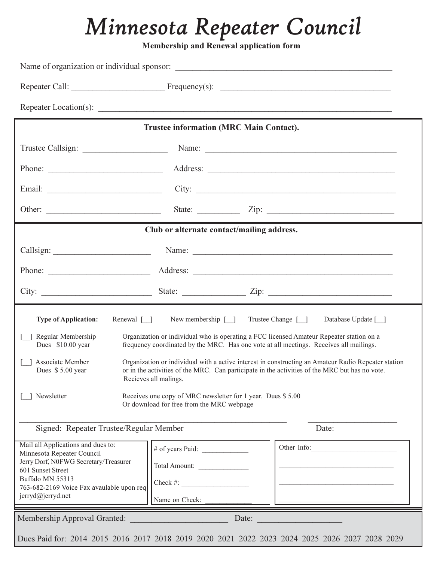# *Minnesota Repeater Council*

**Membership and Renewal application form** 

|                                                                                                                                             | <b>Trustee information (MRC Main Contact).</b>                                                                                    |                                                                                                                                                                                                                                                                                                                                                                                                                                                             |  |  |  |
|---------------------------------------------------------------------------------------------------------------------------------------------|-----------------------------------------------------------------------------------------------------------------------------------|-------------------------------------------------------------------------------------------------------------------------------------------------------------------------------------------------------------------------------------------------------------------------------------------------------------------------------------------------------------------------------------------------------------------------------------------------------------|--|--|--|
|                                                                                                                                             |                                                                                                                                   |                                                                                                                                                                                                                                                                                                                                                                                                                                                             |  |  |  |
|                                                                                                                                             |                                                                                                                                   |                                                                                                                                                                                                                                                                                                                                                                                                                                                             |  |  |  |
|                                                                                                                                             |                                                                                                                                   |                                                                                                                                                                                                                                                                                                                                                                                                                                                             |  |  |  |
|                                                                                                                                             |                                                                                                                                   | State: $\angle$ Zip: $\angle$                                                                                                                                                                                                                                                                                                                                                                                                                               |  |  |  |
|                                                                                                                                             | Club or alternate contact/mailing address.                                                                                        |                                                                                                                                                                                                                                                                                                                                                                                                                                                             |  |  |  |
|                                                                                                                                             |                                                                                                                                   | Name: 2008. [2016] Name: 2008. [2016] Name: 2008. [2016] Name: 2008. [2016] Name: 2008. [2016] Name: 2008. [20                                                                                                                                                                                                                                                                                                                                              |  |  |  |
|                                                                                                                                             |                                                                                                                                   |                                                                                                                                                                                                                                                                                                                                                                                                                                                             |  |  |  |
|                                                                                                                                             |                                                                                                                                   |                                                                                                                                                                                                                                                                                                                                                                                                                                                             |  |  |  |
| Renewal [ ]<br><b>Type of Application:</b><br>Regular Membership<br>Dues \$10.00 year<br>Associate Member<br>Dues \$5.00 year<br>Newsletter | Recieves all malings.<br>Receives one copy of MRC newsletter for 1 year. Dues \$5.00<br>Or download for free from the MRC webpage | New membership [ ] Trustee Change [ ]<br>Database Update [ ]<br>Organization or individual who is operating a FCC licensed Amateur Repeater station on a<br>frequency coordinated by the MRC. Has one vote at all meetings. Receives all mailings.<br>Organization or individual with a active interest in constructing an Amateur Radio Repeater station<br>or in the activities of the MRC. Can participate in the activities of the MRC but has no vote. |  |  |  |
| Signed: Repeater Trustee/Regular Member                                                                                                     |                                                                                                                                   | Date:                                                                                                                                                                                                                                                                                                                                                                                                                                                       |  |  |  |
| Mail all Applications and dues to:                                                                                                          | # of years Paid: $\qquad \qquad$                                                                                                  | Other Info:                                                                                                                                                                                                                                                                                                                                                                                                                                                 |  |  |  |